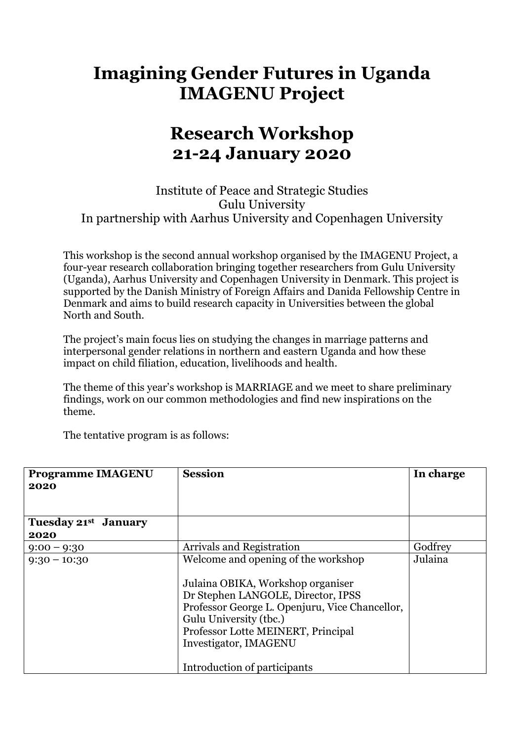## **Imagining Gender Futures in Uganda IMAGENU Project**

## **Research Workshop 21-24 January 2020**

Institute of Peace and Strategic Studies Gulu University In partnership with Aarhus University and Copenhagen University

This workshop is the second annual workshop organised by the IMAGENU Project, a four-year research collaboration bringing together researchers from Gulu University (Uganda), Aarhus University and Copenhagen University in Denmark. This project is supported by the Danish Ministry of Foreign Affairs and Danida Fellowship Centre in Denmark and aims to build research capacity in Universities between the global North and South.

The project's main focus lies on studying the changes in marriage patterns and interpersonal gender relations in northern and eastern Uganda and how these impact on child filiation, education, livelihoods and health.

The theme of this year's workshop is MARRIAGE and we meet to share preliminary findings, work on our common methodologies and find new inspirations on the theme.

The tentative program is as follows:

| <b>Programme IMAGENU</b>       | <b>Session</b>                                 | In charge |
|--------------------------------|------------------------------------------------|-----------|
| 2020                           |                                                |           |
| Tuesday 21st<br><b>January</b> |                                                |           |
| 2020                           |                                                |           |
| $9:00 - 9:30$                  | <b>Arrivals and Registration</b>               | Godfrey   |
| $9:30 - 10:30$                 | Welcome and opening of the workshop            | Julaina   |
|                                | Julaina OBIKA, Workshop organiser              |           |
|                                | Dr Stephen LANGOLE, Director, IPSS             |           |
|                                | Professor George L. Openjuru, Vice Chancellor, |           |
|                                | Gulu University (tbc.)                         |           |
|                                | Professor Lotte MEINERT, Principal             |           |
|                                | Investigator, IMAGENU                          |           |
|                                | Introduction of participants                   |           |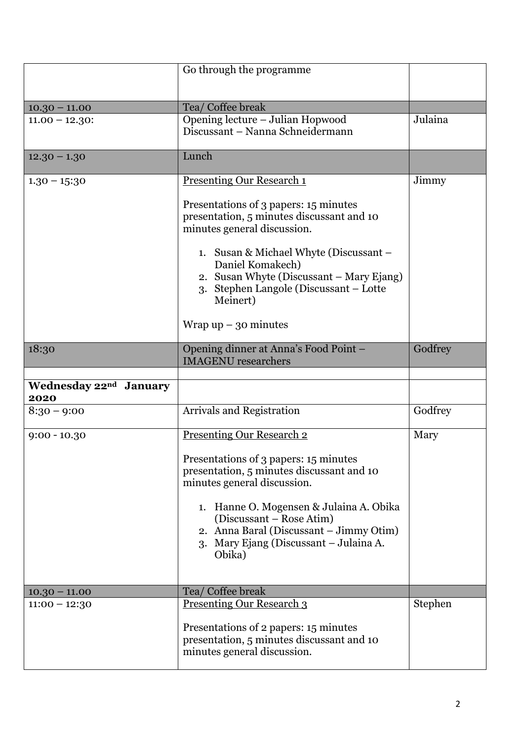|                                            | Go through the programme                                                                                                                                 |         |
|--------------------------------------------|----------------------------------------------------------------------------------------------------------------------------------------------------------|---------|
|                                            |                                                                                                                                                          |         |
| $10.30 - 11.00$<br>$11.00 - 12.30$ :       | Tea/ Coffee break<br>Opening lecture - Julian Hopwood                                                                                                    | Julaina |
|                                            | Discussant - Nanna Schneidermann                                                                                                                         |         |
| $12.30 - 1.30$                             | Lunch                                                                                                                                                    |         |
| $1.30 - 15:30$                             | <b>Presenting Our Research 1</b><br>Presentations of 3 papers: 15 minutes                                                                                | Jimmy   |
|                                            | presentation, 5 minutes discussant and 10<br>minutes general discussion.                                                                                 |         |
|                                            | 1. Susan & Michael Whyte (Discussant -<br>Daniel Komakech)<br>2. Susan Whyte (Discussant – Mary Ejang)                                                   |         |
|                                            | 3. Stephen Langole (Discussant - Lotte<br>Meinert)                                                                                                       |         |
|                                            | Wrap $up - 30$ minutes                                                                                                                                   |         |
| 18:30                                      | Opening dinner at Anna's Food Point -<br><b>IMAGENU</b> researchers                                                                                      | Godfrey |
|                                            |                                                                                                                                                          |         |
| Wednesday 22 <sup>nd</sup> January<br>2020 |                                                                                                                                                          |         |
| $8:30 - 9:00$                              | <b>Arrivals and Registration</b>                                                                                                                         | Godfrey |
| $9:00 - 10.30$                             | <b>Presenting Our Research 2</b>                                                                                                                         | Mary    |
|                                            | Presentations of 3 papers: 15 minutes<br>presentation, 5 minutes discussant and 10<br>minutes general discussion.                                        |         |
|                                            | 1. Hanne O. Mogensen & Julaina A. Obika<br>(Discussant – Rose Atim)<br>2. Anna Baral (Discussant – Jimmy Otim)<br>3. Mary Ejang (Discussant – Julaina A. |         |
|                                            | Obika)                                                                                                                                                   |         |
| $10.30 - 11.00$                            | Tea/ Coffee break                                                                                                                                        |         |
| $11:00 - 12:30$                            | <u>Presenting Our Research 3</u><br>Presentations of 2 papers: 15 minutes<br>presentation, 5 minutes discussant and 10                                   | Stephen |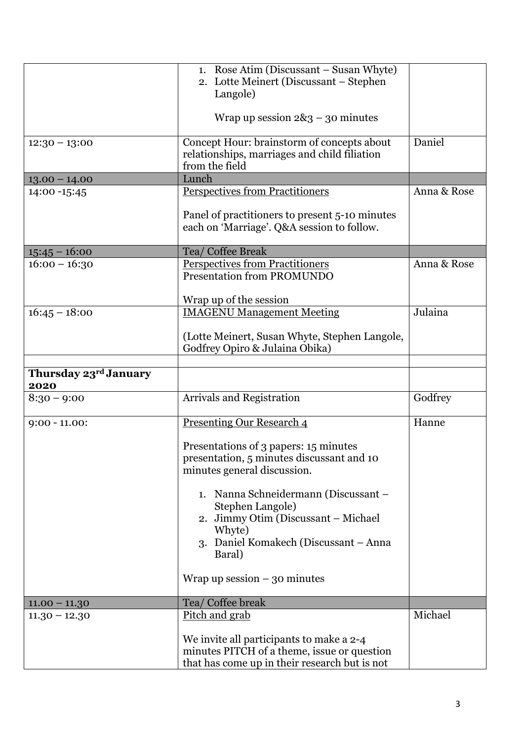|                               | 1. Rose Atim (Discussant – Susan Whyte)<br>2. Lotte Meinert (Discussant – Stephen                                                        |             |
|-------------------------------|------------------------------------------------------------------------------------------------------------------------------------------|-------------|
|                               | Langole)                                                                                                                                 |             |
|                               | Wrap up session $2\&3 - 30$ minutes                                                                                                      |             |
| $12:30 - 13:00$               | Concept Hour: brainstorm of concepts about<br>relationships, marriages and child filiation<br>from the field                             | Daniel      |
| $13.00 - 14.00$               | Lunch                                                                                                                                    |             |
| 14:00 -15:45                  | <b>Perspectives from Practitioners</b>                                                                                                   | Anna & Rose |
|                               | Panel of practitioners to present 5-10 minutes<br>each on 'Marriage'. Q&A session to follow.                                             |             |
| $15:45 - 16:00$               | Tea/ Coffee Break                                                                                                                        |             |
| $16:00 - 16:30$               | <b>Perspectives from Practitioners</b><br><b>Presentation from PROMUNDO</b>                                                              | Anna & Rose |
|                               | Wrap up of the session                                                                                                                   |             |
| $16:45 - 18:00$               | <b>IMAGENU Management Meeting</b>                                                                                                        | Julaina     |
|                               | (Lotte Meinert, Susan Whyte, Stephen Langole,<br>Godfrey Opiro & Julaina Obika)                                                          |             |
|                               |                                                                                                                                          |             |
| Thursday 23rd January<br>2020 |                                                                                                                                          |             |
| $8:30 - 9:00$                 | Arrivals and Registration                                                                                                                | Godfrey     |
| $9:00 - 11.00$ :              | <b>Presenting Our Research 4</b>                                                                                                         | Hanne       |
|                               | Presentations of 3 papers: 15 minutes<br>presentation, 5 minutes discussant and 10<br>minutes general discussion.                        |             |
|                               | 1. Nanna Schneidermann (Discussant -<br>Stephen Langole)<br>2. Jimmy Otim (Discussant - Michael                                          |             |
|                               | Whyte)<br>3. Daniel Komakech (Discussant – Anna<br>Baral)                                                                                |             |
|                               | Wrap up session $-30$ minutes                                                                                                            |             |
| $11.00 - 11.30$               | Tea/ Coffee break                                                                                                                        |             |
| $11.30 - 12.30$               | Pitch and grab                                                                                                                           | Michael     |
|                               | We invite all participants to make a 2-4<br>minutes PITCH of a theme, issue or question<br>that has come up in their research but is not |             |